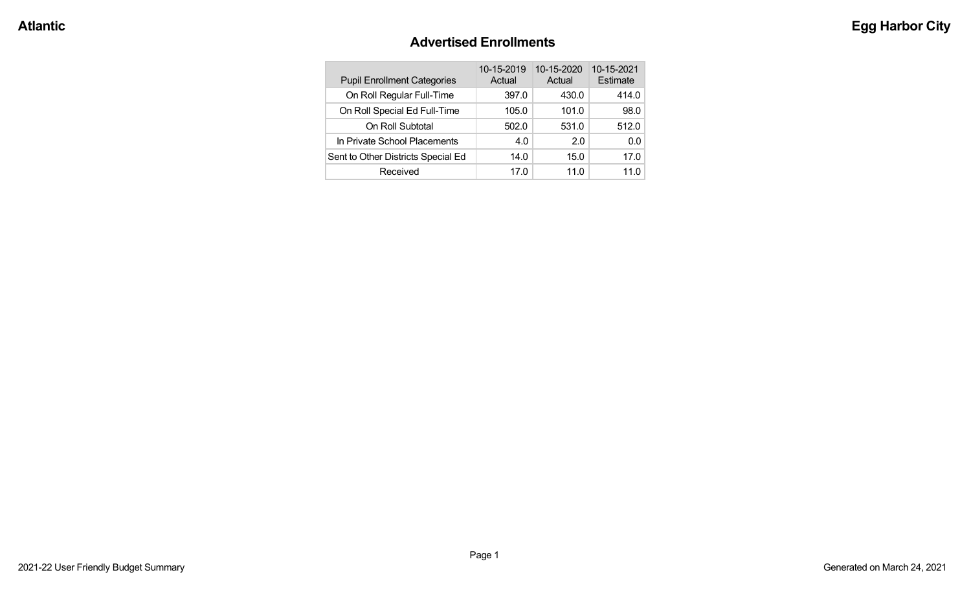#### **Advertised Enrollments**

| <b>Pupil Enrollment Categories</b> | 10-15-2019<br>Actual | 10-15-2020<br>Actual | 10-15-2021<br>Estimate |
|------------------------------------|----------------------|----------------------|------------------------|
| On Roll Regular Full-Time          | 397.0                | 430.0                | 414.0                  |
| On Roll Special Ed Full-Time       | 105.0                | 101.0                | 98.0                   |
| On Roll Subtotal                   | 502.0                | 531.0                | 512.0                  |
| In Private School Placements       | 4.0                  | 2.0                  | 0.0                    |
| Sent to Other Districts Special Ed | 14.0                 | 15.0                 | 17.0                   |
| Received                           | 17.0                 | 11. $0$              | 11.0                   |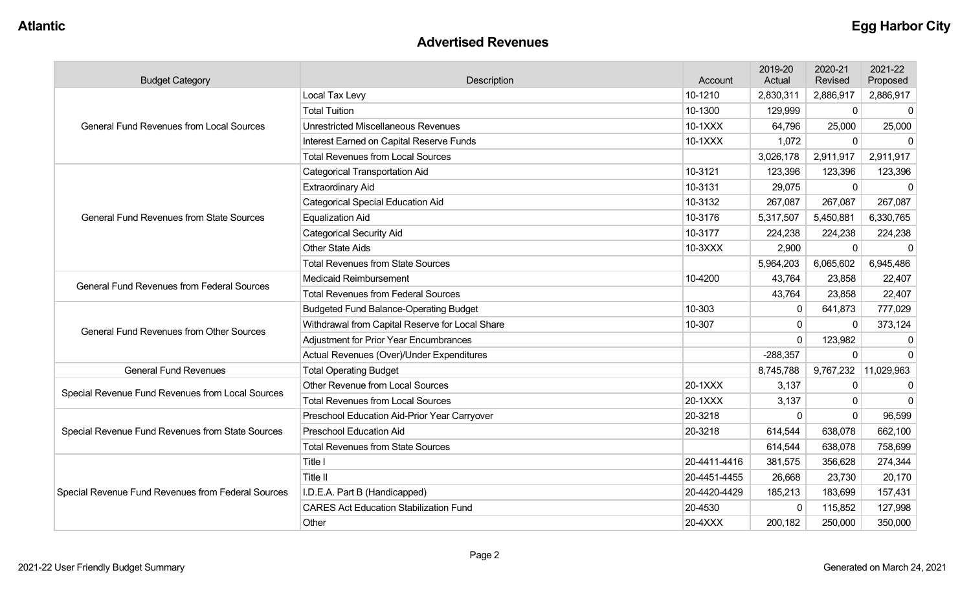#### **Advertised Revenues**

| <b>Budget Category</b>                             | Description                                     |              | 2019-20<br>Actual | 2020-21<br>Revised | 2021-22<br>Proposed  |
|----------------------------------------------------|-------------------------------------------------|--------------|-------------------|--------------------|----------------------|
|                                                    | Local Tax Levy<br>10-1210                       |              | 2,830,311         | 2,886,917          | 2,886,917            |
|                                                    | <b>Total Tuition</b>                            | 10-1300      | 129,999           | $\mathbf 0$        | $\Omega$             |
| <b>General Fund Revenues from Local Sources</b>    | <b>Unrestricted Miscellaneous Revenues</b>      | 10-1XXX      | 64,796            | 25,000             | 25,000               |
|                                                    | Interest Earned on Capital Reserve Funds        | 10-1XXX      | 1,072             | 0                  | $\Omega$             |
|                                                    | <b>Total Revenues from Local Sources</b>        |              | 3,026,178         | 2,911,917          | 2,911,917            |
|                                                    | <b>Categorical Transportation Aid</b>           | 10-3121      | 123,396           | 123,396            | 123,396              |
|                                                    | <b>Extraordinary Aid</b>                        | 10-3131      | 29,075            | 0                  | $\Omega$             |
|                                                    | <b>Categorical Special Education Aid</b>        | 10-3132      | 267,087           | 267,087            | 267,087              |
| <b>General Fund Revenues from State Sources</b>    | <b>Equalization Aid</b>                         | 10-3176      | 5,317,507         | 5,450,881          | 6,330,765            |
|                                                    | <b>Categorical Security Aid</b>                 | 10-3177      | 224,238           | 224,238            | 224,238              |
|                                                    | <b>Other State Aids</b>                         | 10-3XXX      | 2,900             | $\overline{0}$     | $\mathbf 0$          |
|                                                    | <b>Total Revenues from State Sources</b>        |              | 5,964,203         | 6,065,602          | 6,945,486            |
| <b>General Fund Revenues from Federal Sources</b>  | <b>Medicaid Reimbursement</b>                   | 10-4200      | 43,764            | 23,858             | 22,407               |
|                                                    | <b>Total Revenues from Federal Sources</b>      |              | 43,764            | 23,858             | 22,407               |
|                                                    | <b>Budgeted Fund Balance-Operating Budget</b>   | 10-303       | $\mathbf{0}$      | 641,873            | 777,029              |
| <b>General Fund Revenues from Other Sources</b>    | Withdrawal from Capital Reserve for Local Share | 10-307       | 0                 | $\mathbf{0}$       | 373,124              |
|                                                    | <b>Adjustment for Prior Year Encumbrances</b>   |              | $\Omega$          | 123,982            | $\Omega$             |
|                                                    | Actual Revenues (Over)/Under Expenditures       |              | $-288,357$        | 0                  | $\Omega$             |
| <b>General Fund Revenues</b>                       | <b>Total Operating Budget</b>                   |              | 8,745,788         |                    | 9,767,232 11,029,963 |
|                                                    | Other Revenue from Local Sources                | 20-1XXX      | 3,137             | 0                  | $\mathbf{0}$         |
| Special Revenue Fund Revenues from Local Sources   | <b>Total Revenues from Local Sources</b>        | 20-1XXX      | 3,137             | 0                  | $\mathbf{0}$         |
|                                                    | Preschool Education Aid-Prior Year Carryover    | 20-3218      | $\Omega$          | $\Omega$           | 96,599               |
| Special Revenue Fund Revenues from State Sources   | <b>Preschool Education Aid</b>                  | 20-3218      | 614,544           | 638,078            | 662,100              |
|                                                    | <b>Total Revenues from State Sources</b>        |              | 614,544           | 638,078            | 758,699              |
|                                                    | <b>Title I</b>                                  | 20-4411-4416 | 381,575           | 356,628            | 274,344              |
|                                                    | Title II                                        | 20-4451-4455 | 26,668            | 23,730             | 20,170               |
| Special Revenue Fund Revenues from Federal Sources | I.D.E.A. Part B (Handicapped)                   | 20-4420-4429 | 185,213           | 183,699            | 157,431              |
|                                                    | <b>CARES Act Education Stabilization Fund</b>   | 20-4530      | $\mathbf{0}$      | 115,852            | 127,998              |
|                                                    | Other                                           | 20-4XXX      | 200,182           | 250,000            | 350,000              |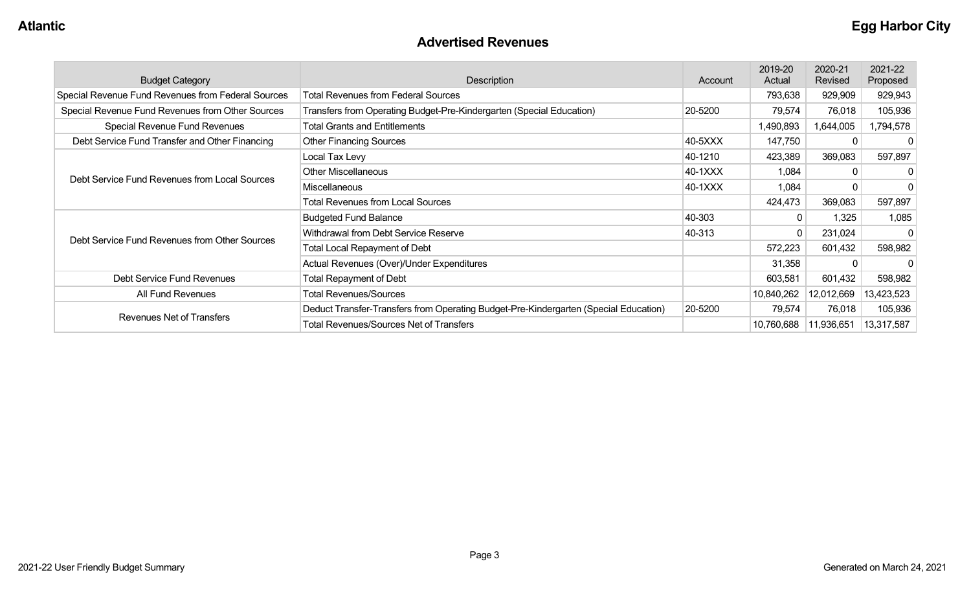#### **Advertised Revenues**

| <b>Budget Category</b>                             | <b>Description</b>                                                                   | Account | 2019-20<br>Actual | 2020-21<br>Revised | 2021-22<br>Proposed |
|----------------------------------------------------|--------------------------------------------------------------------------------------|---------|-------------------|--------------------|---------------------|
| Special Revenue Fund Revenues from Federal Sources | <b>Total Revenues from Federal Sources</b>                                           |         | 793,638           | 929,909            | 929,943             |
| Special Revenue Fund Revenues from Other Sources   | Transfers from Operating Budget-Pre-Kindergarten (Special Education)                 | 20-5200 | 79,574            | 76,018             | 105,936             |
| Special Revenue Fund Revenues                      | <b>Total Grants and Entitlements</b>                                                 |         | 1,490,893         | 1,644,005          | 1,794,578           |
| Debt Service Fund Transfer and Other Financing     | <b>Other Financing Sources</b>                                                       | 40-5XXX | 147,750           |                    |                     |
|                                                    | Local Tax Levy                                                                       | 40-1210 | 423,389           | 369,083            | 597,897             |
|                                                    | <b>Other Miscellaneous</b>                                                           | 40-1XXX | 1,084             | 0                  |                     |
| Debt Service Fund Revenues from Local Sources      | Miscellaneous                                                                        | 40-1XXX | 1,084             |                    |                     |
|                                                    | Total Revenues from Local Sources                                                    |         | 424,473           | 369,083            | 597,897             |
|                                                    | <b>Budgeted Fund Balance</b>                                                         | 40-303  | $\mathbf{0}$      | 1,325              | 1,085               |
| Debt Service Fund Revenues from Other Sources      | Withdrawal from Debt Service Reserve                                                 | 40-313  | 0                 | 231,024            |                     |
|                                                    | <b>Total Local Repayment of Debt</b>                                                 |         | 572,223           | 601,432            | 598,982             |
|                                                    | Actual Revenues (Over)/Under Expenditures                                            |         | 31,358            |                    |                     |
| Debt Service Fund Revenues                         | <b>Total Repayment of Debt</b>                                                       |         | 603,581           | 601,432            | 598,982             |
| All Fund Revenues                                  | <b>Total Revenues/Sources</b>                                                        |         | 10,840,262        | 12,012,669         | 13,423,523          |
|                                                    | Deduct Transfer-Transfers from Operating Budget-Pre-Kindergarten (Special Education) | 20-5200 | 79,574            | 76,018             | 105,936             |
| Revenues Net of Transfers                          | <b>Total Revenues/Sources Net of Transfers</b>                                       |         | 10,760,688        | 11,936,651         | 13,317,587          |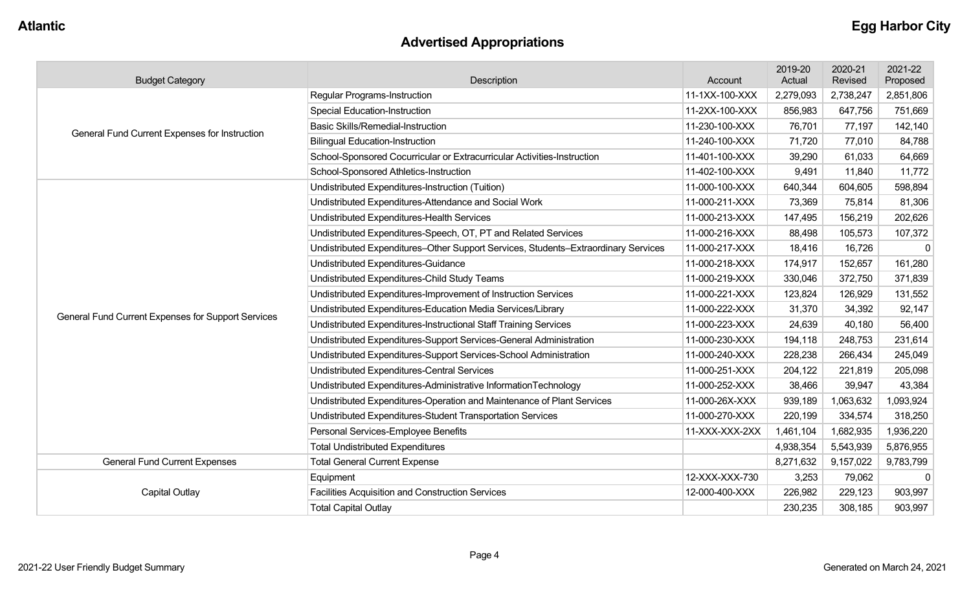# **Advertised Appropriations**

| <b>Budget Category</b>                             | Description                                                                        | Account        | 2019-20<br>Actual | 2020-21<br>Revised | 2021-22<br>Proposed |
|----------------------------------------------------|------------------------------------------------------------------------------------|----------------|-------------------|--------------------|---------------------|
|                                                    | <b>Regular Programs-Instruction</b>                                                | 11-1XX-100-XXX | 2,279,093         | 2,738,247          | 2,851,806           |
|                                                    | <b>Special Education-Instruction</b>                                               | 11-2XX-100-XXX | 856,983           | 647,756            | 751,669             |
| General Fund Current Expenses for Instruction      | <b>Basic Skills/Remedial-Instruction</b>                                           | 11-230-100-XXX | 76,701            | 77,197             | 142,140             |
|                                                    | <b>Bilingual Education-Instruction</b>                                             | 11-240-100-XXX | 71,720            | 77,010             | 84,788              |
|                                                    | School-Sponsored Cocurricular or Extracurricular Activities-Instruction            | 11-401-100-XXX | 39,290            | 61,033             | 64,669              |
|                                                    | School-Sponsored Athletics-Instruction                                             | 11-402-100-XXX | 9,491             | 11,840             | 11,772              |
|                                                    | Undistributed Expenditures-Instruction (Tuition)                                   | 11-000-100-XXX | 640,344           | 604,605            | 598,894             |
|                                                    | Undistributed Expenditures-Attendance and Social Work                              | 11-000-211-XXX | 73,369            | 75,814             | 81,306              |
|                                                    | Undistributed Expenditures-Health Services                                         | 11-000-213-XXX | 147,495           | 156,219            | 202,626             |
|                                                    | Undistributed Expenditures-Speech, OT, PT and Related Services                     | 11-000-216-XXX | 88,498            | 105,573            | 107,372             |
|                                                    | Undistributed Expenditures-Other Support Services, Students-Extraordinary Services | 11-000-217-XXX | 18,416            | 16,726             | $\Omega$            |
|                                                    | Undistributed Expenditures-Guidance                                                | 11-000-218-XXX | 174,917           | 152,657            | 161,280             |
|                                                    | Undistributed Expenditures-Child Study Teams                                       | 11-000-219-XXX | 330,046           | 372,750            | 371,839             |
|                                                    | Undistributed Expenditures-Improvement of Instruction Services                     | 11-000-221-XXX | 123,824           | 126,929            | 131,552             |
|                                                    | Undistributed Expenditures-Education Media Services/Library                        | 11-000-222-XXX | 31,370            | 34,392             | 92,147              |
| General Fund Current Expenses for Support Services | Undistributed Expenditures-Instructional Staff Training Services                   | 11-000-223-XXX | 24,639            | 40,180             | 56,400              |
|                                                    | Undistributed Expenditures-Support Services-General Administration                 | 11-000-230-XXX | 194,118           | 248,753            | 231,614             |
|                                                    | Undistributed Expenditures-Support Services-School Administration                  | 11-000-240-XXX | 228,238           | 266,434            | 245,049             |
|                                                    | Undistributed Expenditures-Central Services                                        | 11-000-251-XXX | 204,122           | 221,819            | 205,098             |
|                                                    | Undistributed Expenditures-Administrative InformationTechnology                    | 11-000-252-XXX | 38,466            | 39,947             | 43,384              |
|                                                    | Undistributed Expenditures-Operation and Maintenance of Plant Services             | 11-000-26X-XXX | 939,189           | 1,063,632          | 1,093,924           |
|                                                    | Undistributed Expenditures-Student Transportation Services                         | 11-000-270-XXX | 220,199           | 334,574            | 318,250             |
|                                                    | Personal Services-Employee Benefits                                                | 11-XXX-XXX-2XX | 1,461,104         | 1,682,935          | 1,936,220           |
|                                                    | <b>Total Undistributed Expenditures</b>                                            |                | 4,938,354         | 5,543,939          | 5,876,955           |
| <b>General Fund Current Expenses</b>               | <b>Total General Current Expense</b>                                               |                | 8,271,632         | 9,157,022          | 9,783,799           |
|                                                    | Equipment                                                                          | 12-XXX-XXX-730 | 3,253             | 79,062             | $\mathbf 0$         |
| <b>Capital Outlay</b>                              | Facilities Acquisition and Construction Services                                   | 12-000-400-XXX | 226,982           | 229,123            | 903,997             |
|                                                    | <b>Total Capital Outlay</b>                                                        |                | 230,235           | 308,185            | 903,997             |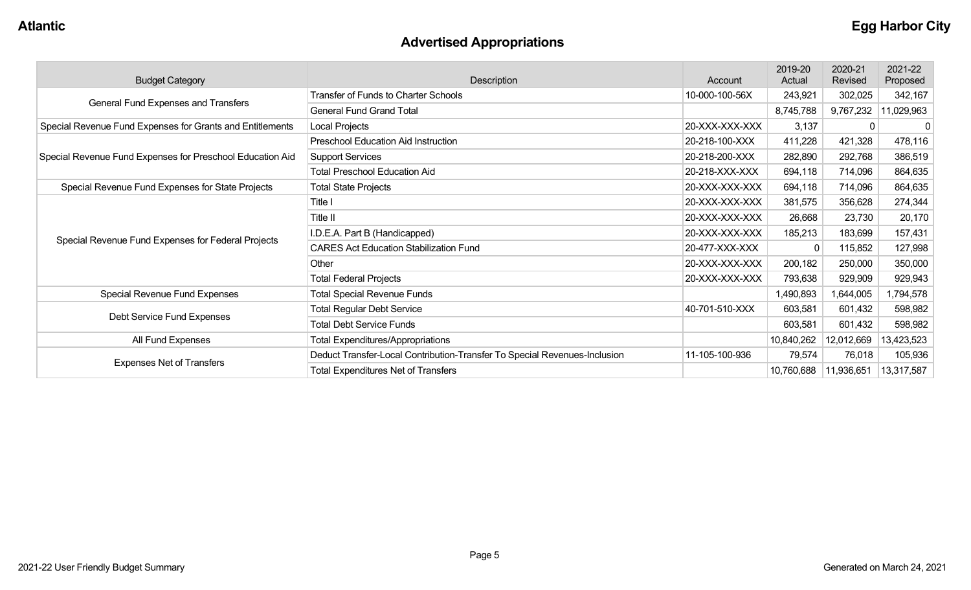# **Advertised Appropriations**

| <b>Budget Category</b>                                                          | Description                                                               | Account        | 2019-20<br>Actual | 2020-21<br>Revised | 2021-22<br>Proposed |
|---------------------------------------------------------------------------------|---------------------------------------------------------------------------|----------------|-------------------|--------------------|---------------------|
|                                                                                 | <b>Transfer of Funds to Charter Schools</b>                               | 10-000-100-56X | 243,921           | 302,025            | 342,167             |
| General Fund Expenses and Transfers                                             | <b>General Fund Grand Total</b>                                           |                | 8,745,788         | 9,767,232          | 11,029,963          |
| Special Revenue Fund Expenses for Grants and Entitlements                       | Local Projects                                                            | 20-XXX-XXX-XXX | 3,137             |                    | 0                   |
|                                                                                 | Preschool Education Aid Instruction                                       | 20-218-100-XXX | 411,228           | 421,328            | 478,116             |
| Special Revenue Fund Expenses for Preschool Education Aid                       | <b>Support Services</b>                                                   | 20-218-200-XXX | 282,890           | 292,768            | 386,519             |
|                                                                                 | <b>Total Preschool Education Aid</b>                                      | 20-218-XXX-XXX | 694,118           | 714,096            | 864,635             |
| Special Revenue Fund Expenses for State Projects<br><b>Total State Projects</b> |                                                                           | 20-XXX-XXX-XXX | 694,118           | 714,096            | 864,635             |
|                                                                                 | Title I                                                                   | 20-XXX-XXX-XXX | 381,575           | 356,628            | 274,344             |
|                                                                                 | Title II                                                                  | 20-XXX-XXX-XXX | 26,668            | 23,730             | 20,170              |
|                                                                                 | I.D.E.A. Part B (Handicapped)                                             | 20-XXX-XXX-XXX | 185,213           | 183,699            | 157,431             |
| Special Revenue Fund Expenses for Federal Projects                              | <b>CARES Act Education Stabilization Fund</b>                             | 20-477-XXX-XXX |                   | 115,852            | 127,998             |
|                                                                                 | Other                                                                     | 20-XXX-XXX-XXX | 200,182           | 250,000            | 350,000             |
|                                                                                 | <b>Total Federal Projects</b>                                             | 20-XXX-XXX-XXX | 793,638           | 929,909            | 929,943             |
| Special Revenue Fund Expenses                                                   | <b>Total Special Revenue Funds</b>                                        |                | 1,490,893         | 1,644,005          | 1,794,578           |
|                                                                                 | <b>Total Regular Debt Service</b>                                         | 40-701-510-XXX | 603,581           | 601,432            | 598,982             |
| Debt Service Fund Expenses                                                      | <b>Total Debt Service Funds</b>                                           |                | 603,581           | 601,432            | 598,982             |
| All Fund Expenses                                                               | <b>Total Expenditures/Appropriations</b>                                  |                | 10,840,262        | 12,012,669         | 13,423,523          |
|                                                                                 | Deduct Transfer-Local Contribution-Transfer To Special Revenues-Inclusion | 11-105-100-936 | 79,574            | 76,018             | 105,936             |
| <b>Expenses Net of Transfers</b>                                                | <b>Total Expenditures Net of Transfers</b>                                |                | 10,760,688        | 11,936,651         | 13,317,587          |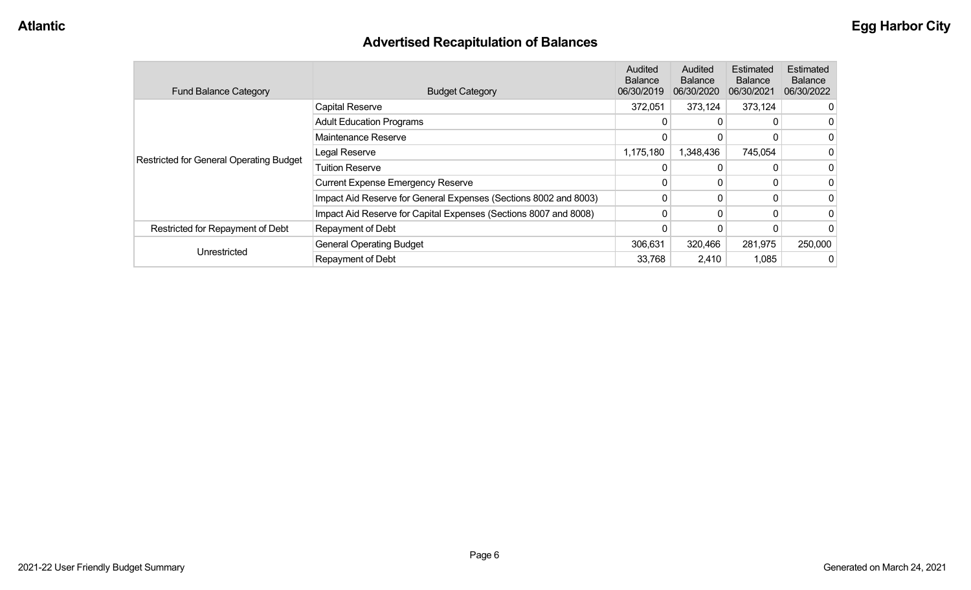# **Advertised Recapitulation of Balances**

| <b>Fund Balance Category</b>                   | <b>Budget Category</b>                                           | <b>Audited</b><br><b>Balance</b><br>06/30/2019 | Audited<br><b>Balance</b><br>06/30/2020 | Estimated<br><b>Balance</b><br>06/30/2021 | <b>Estimated</b><br><b>Balance</b><br>06/30/2022 |
|------------------------------------------------|------------------------------------------------------------------|------------------------------------------------|-----------------------------------------|-------------------------------------------|--------------------------------------------------|
|                                                | <b>Capital Reserve</b>                                           | 372,051                                        | 373,124                                 | 373,124                                   |                                                  |
|                                                | <b>Adult Education Programs</b>                                  | 0                                              | 0                                       |                                           |                                                  |
|                                                | Maintenance Reserve                                              | 0                                              | 0                                       |                                           |                                                  |
|                                                | Legal Reserve                                                    | 1,175,180                                      | 1,348,436                               | 745,054                                   |                                                  |
| <b>Restricted for General Operating Budget</b> | <b>Tuition Reserve</b>                                           | 0                                              | 0                                       |                                           |                                                  |
|                                                | <b>Current Expense Emergency Reserve</b>                         | 0                                              | 0                                       |                                           |                                                  |
|                                                | Impact Aid Reserve for General Expenses (Sections 8002 and 8003) | 0                                              | 0                                       | $\Omega$                                  |                                                  |
|                                                | Impact Aid Reserve for Capital Expenses (Sections 8007 and 8008) | 0                                              | 0                                       | 0                                         |                                                  |
| Restricted for Repayment of Debt               | Repayment of Debt                                                |                                                |                                         |                                           |                                                  |
|                                                | <b>General Operating Budget</b>                                  | 306,631                                        | 320,466                                 | 281,975                                   | 250,000                                          |
| Unrestricted                                   | Repayment of Debt                                                | 33,768                                         | 2,410                                   | 1,085                                     |                                                  |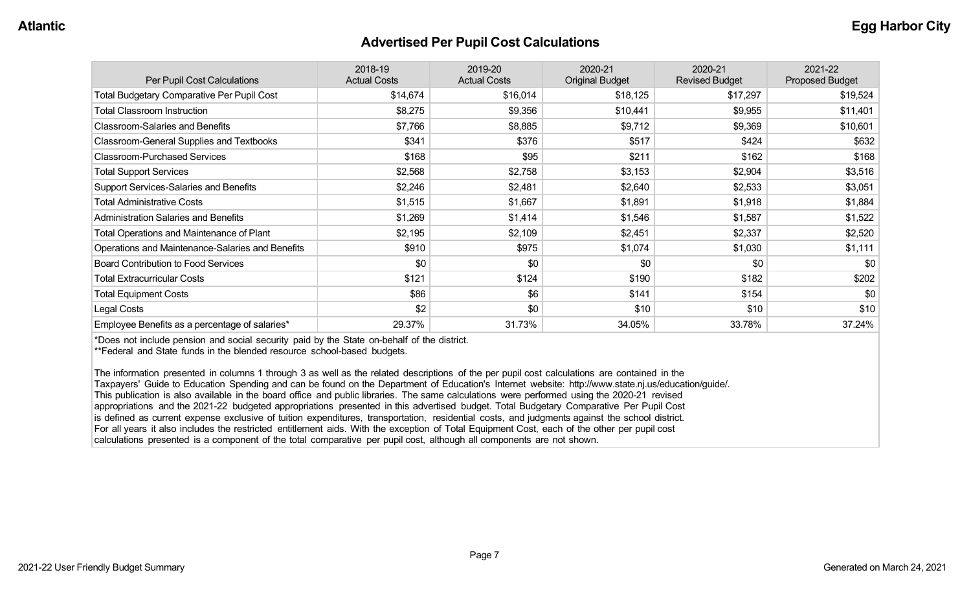#### **Advertised Per Pupil Cost Calculations**

| Per Pupil Cost Calculations                       | 2018-19<br><b>Actual Costs</b> | 2019-20<br><b>Actual Costs</b> | 2020-21<br><b>Original Budget</b> | 2020-21<br><b>Revised Budget</b> | 2021-22<br><b>Proposed Budget</b> |
|---------------------------------------------------|--------------------------------|--------------------------------|-----------------------------------|----------------------------------|-----------------------------------|
| <b>Total Budgetary Comparative Per Pupil Cost</b> | \$14,674                       | \$16,014                       | \$18,125                          | \$17,297                         | \$19,524                          |
| <b>Total Classroom Instruction</b>                | \$8,275                        | \$9,356                        | \$10,441                          | \$9,955                          | \$11,401                          |
| <b>Classroom-Salaries and Benefits</b>            | \$7,766                        | \$8,885                        | \$9,712                           | \$9,369                          | \$10,601                          |
| Classroom-General Supplies and Textbooks          | \$341                          | \$376                          | \$517                             | \$424                            | \$632                             |
| <b>Classroom-Purchased Services</b>               | \$168                          | \$95                           | \$211                             | \$162                            | \$168                             |
| <b>Total Support Services</b>                     | \$2,568                        | \$2,758                        | \$3,153                           | \$2,904                          | \$3,516                           |
| Support Services-Salaries and Benefits            | \$2,246                        | \$2,481                        | \$2,640                           | \$2,533                          | \$3,051                           |
| <b>Total Administrative Costs</b>                 | \$1,515                        | \$1,667                        | \$1,891                           | \$1,918                          | \$1,884                           |
| <b>Administration Salaries and Benefits</b>       | \$1,269                        | \$1,414                        | \$1,546                           | \$1,587                          | \$1,522                           |
| Total Operations and Maintenance of Plant         | \$2,195                        | \$2,109                        | \$2,451                           | \$2,337                          | \$2,520                           |
| Operations and Maintenance-Salaries and Benefits  | \$910                          | \$975                          | \$1,074                           | \$1,030                          | \$1,111                           |
| <b>Board Contribution to Food Services</b>        | \$0                            | \$0                            | \$0                               | \$0                              | \$0                               |
| <b>Total Extracurricular Costs</b>                | \$121                          | \$124                          | \$190                             | \$182                            | \$202                             |
| <b>Total Equipment Costs</b>                      | \$86                           | \$6                            | \$141                             | \$154                            | \$0                               |
| Legal Costs                                       | \$2                            | \$0                            | \$10                              | \$10                             | \$10                              |
| Employee Benefits as a percentage of salaries*    | 29.37%                         | 31.73%                         | 34.05%                            | 33.78%                           | 37.24%                            |

\*Does not include pension and social security paid by the State on-behalf of the district.

\*\*Federal and State funds in the blended resource school-based budgets.

The information presented in columns 1 through 3 as well as the related descriptions of the per pupil cost calculations are contained in the Taxpayers' Guide to Education Spending and can be found on the Department of Education's Internet website: http://www.state.nj.us/education/guide/. This publication is also available in the board office and public libraries. The same calculations were performed using the 2020-21 revised appropriations and the 2021-22 budgeted appropriations presented in this advertised budget. Total Budgetary Comparative Per Pupil Cost is defined as current expense exclusive of tuition expenditures, transportation, residential costs, and judgments against the school district. For all years it also includes the restricted entitlement aids. With the exception of Total Equipment Cost, each of the other per pupil cost calculations presented is a component of the total comparative per pupil cost, although all components are not shown.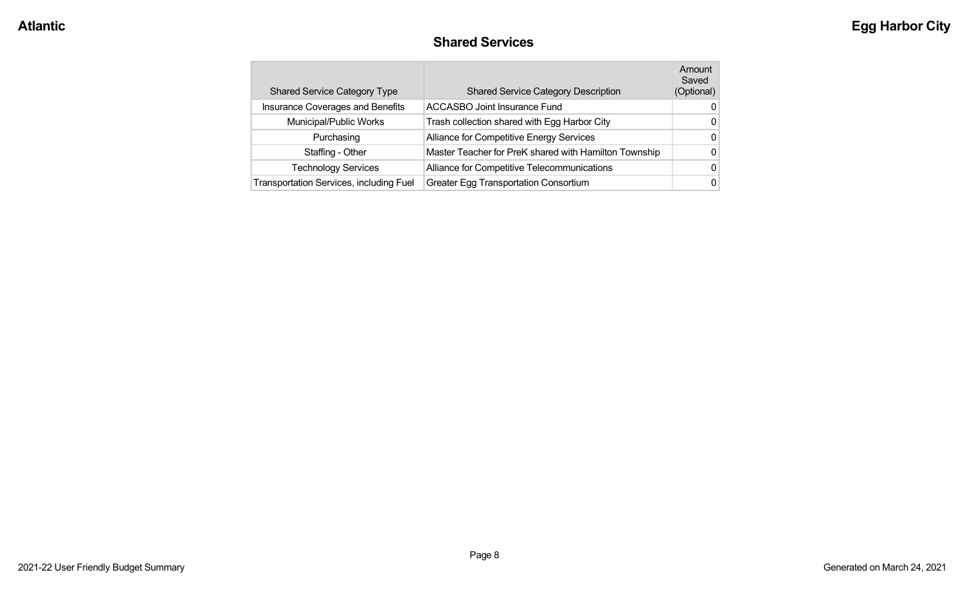#### **Shared Services**

| <b>Shared Service Category Type</b>     | <b>Shared Service Category Description</b>            | Amount<br>Saved<br>(Optional) |
|-----------------------------------------|-------------------------------------------------------|-------------------------------|
| Insurance Coverages and Benefits        | <b>ACCASBO Joint Insurance Fund</b>                   | 0                             |
| Municipal/Public Works                  | Trash collection shared with Egg Harbor City          | 0                             |
| Purchasing                              | Alliance for Competitive Energy Services              | 0                             |
| Staffing - Other                        | Master Teacher for PreK shared with Hamilton Township | 0                             |
| <b>Technology Services</b>              | Alliance for Competitive Telecommunications           | 0                             |
| Transportation Services, including Fuel | <b>Greater Egg Transportation Consortium</b>          | 0                             |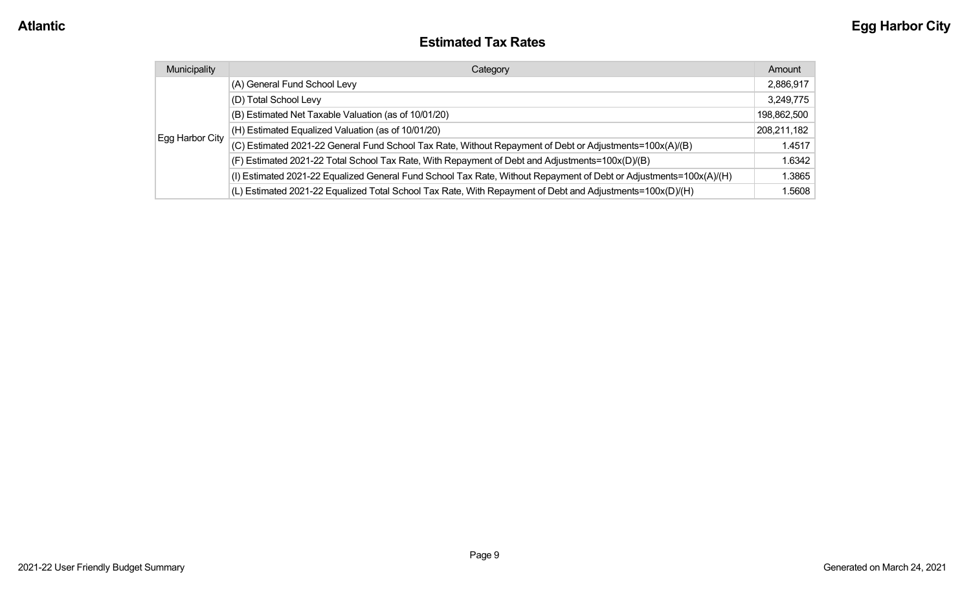#### **Estimated Tax Rates**

| Municipality    | Category                                                                                                           | Amount      |
|-----------------|--------------------------------------------------------------------------------------------------------------------|-------------|
|                 | (A) General Fund School Levy                                                                                       | 2,886,917   |
|                 | (D) Total School Levy                                                                                              | 3,249,775   |
|                 | (B) Estimated Net Taxable Valuation (as of 10/01/20)                                                               | 198,862,500 |
|                 | (H) Estimated Equalized Valuation (as of 10/01/20)                                                                 | 208,211,182 |
| Egg Harbor City | (C) Estimated 2021-22 General Fund School Tax Rate, Without Repayment of Debt or Adjustments=100x(A)/(B)           | 1.4517      |
|                 | (F) Estimated 2021-22 Total School Tax Rate, With Repayment of Debt and Adjustments=100x(D)/(B)                    | 1.6342      |
|                 | (I) Estimated 2021-22 Equalized General Fund School Tax Rate, Without Repayment of Debt or Adjustments=100x(A)/(H) | 1.3865      |
|                 | (L) Estimated 2021-22 Equalized Total School Tax Rate, With Repayment of Debt and Adjustments=100x(D)/(H)          | 1.5608      |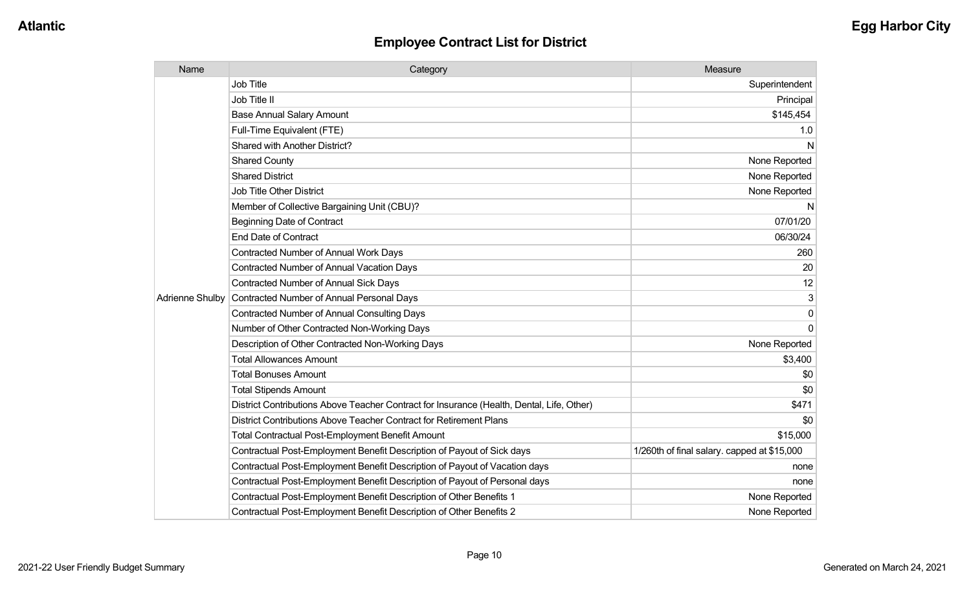| Name                   | Category                                                                                  | Measure                                     |
|------------------------|-------------------------------------------------------------------------------------------|---------------------------------------------|
|                        | <b>Job Title</b>                                                                          | Superintendent                              |
|                        | Job Title II                                                                              | Principal                                   |
|                        | <b>Base Annual Salary Amount</b>                                                          | \$145,454                                   |
|                        | Full-Time Equivalent (FTE)                                                                | 1.0                                         |
|                        | <b>Shared with Another District?</b>                                                      | N                                           |
|                        | <b>Shared County</b>                                                                      | None Reported                               |
|                        | <b>Shared District</b>                                                                    | None Reported                               |
|                        | <b>Job Title Other District</b>                                                           | None Reported                               |
|                        | Member of Collective Bargaining Unit (CBU)?                                               | N                                           |
|                        | <b>Beginning Date of Contract</b>                                                         | 07/01/20                                    |
|                        | <b>End Date of Contract</b>                                                               | 06/30/24                                    |
|                        | <b>Contracted Number of Annual Work Days</b>                                              | 260                                         |
|                        | Contracted Number of Annual Vacation Days                                                 | 20                                          |
|                        | <b>Contracted Number of Annual Sick Days</b>                                              | 12                                          |
| <b>Adrienne Shulby</b> | <b>Contracted Number of Annual Personal Days</b>                                          | 3                                           |
|                        | <b>Contracted Number of Annual Consulting Days</b>                                        | $\mathbf{0}$                                |
|                        | Number of Other Contracted Non-Working Days                                               | $\Omega$                                    |
|                        | Description of Other Contracted Non-Working Days                                          | None Reported                               |
|                        | <b>Total Allowances Amount</b>                                                            | \$3,400                                     |
|                        | <b>Total Bonuses Amount</b>                                                               | \$0                                         |
|                        | <b>Total Stipends Amount</b>                                                              | \$0                                         |
|                        | District Contributions Above Teacher Contract for Insurance (Health, Dental, Life, Other) | \$471                                       |
|                        | District Contributions Above Teacher Contract for Retirement Plans                        | \$0                                         |
|                        | <b>Total Contractual Post-Employment Benefit Amount</b>                                   | \$15,000                                    |
|                        | Contractual Post-Employment Benefit Description of Payout of Sick days                    | 1/260th of final salary. capped at \$15,000 |
|                        | Contractual Post-Employment Benefit Description of Payout of Vacation days                | none                                        |
|                        | Contractual Post-Employment Benefit Description of Payout of Personal days                | none                                        |
|                        | Contractual Post-Employment Benefit Description of Other Benefits 1                       | None Reported                               |
|                        | Contractual Post-Employment Benefit Description of Other Benefits 2                       | None Reported                               |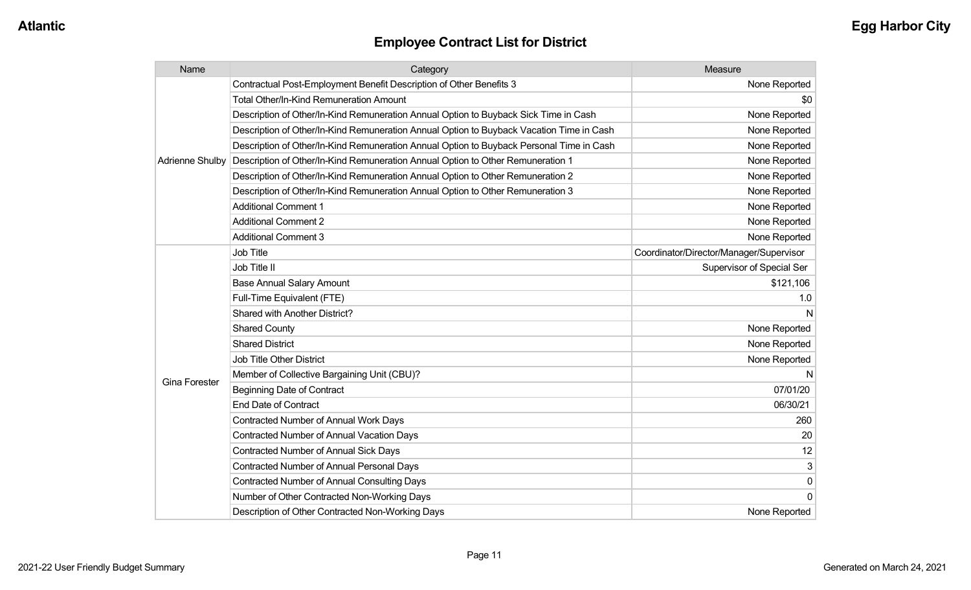| Name                 | Category                                                                                 | Measure                                 |
|----------------------|------------------------------------------------------------------------------------------|-----------------------------------------|
|                      | Contractual Post-Employment Benefit Description of Other Benefits 3                      | None Reported                           |
|                      | <b>Total Other/In-Kind Remuneration Amount</b>                                           | \$0                                     |
|                      | Description of Other/In-Kind Remuneration Annual Option to Buyback Sick Time in Cash     | None Reported                           |
|                      | Description of Other/In-Kind Remuneration Annual Option to Buyback Vacation Time in Cash | None Reported                           |
|                      | Description of Other/In-Kind Remuneration Annual Option to Buyback Personal Time in Cash | None Reported                           |
| Adrienne Shulby      | Description of Other/In-Kind Remuneration Annual Option to Other Remuneration 1          | None Reported                           |
|                      | Description of Other/In-Kind Remuneration Annual Option to Other Remuneration 2          | None Reported                           |
|                      | Description of Other/In-Kind Remuneration Annual Option to Other Remuneration 3          | None Reported                           |
|                      | <b>Additional Comment 1</b>                                                              | None Reported                           |
|                      | <b>Additional Comment 2</b>                                                              | None Reported                           |
|                      | <b>Additional Comment 3</b>                                                              | None Reported                           |
|                      | <b>Job Title</b>                                                                         | Coordinator/Director/Manager/Supervisor |
|                      | Job Title II                                                                             | Supervisor of Special Ser               |
|                      | <b>Base Annual Salary Amount</b>                                                         | \$121,106                               |
|                      | Full-Time Equivalent (FTE)                                                               | 1.0                                     |
|                      | Shared with Another District?                                                            | N                                       |
|                      | <b>Shared County</b>                                                                     | None Reported                           |
|                      | <b>Shared District</b>                                                                   | None Reported                           |
|                      | <b>Job Title Other District</b>                                                          | None Reported                           |
| <b>Gina Forester</b> | Member of Collective Bargaining Unit (CBU)?                                              |                                         |
|                      | <b>Beginning Date of Contract</b>                                                        | 07/01/20                                |
|                      | <b>End Date of Contract</b>                                                              | 06/30/21                                |
|                      | Contracted Number of Annual Work Days                                                    | 260                                     |
|                      | <b>Contracted Number of Annual Vacation Days</b>                                         | 20                                      |
|                      | <b>Contracted Number of Annual Sick Days</b>                                             | 12                                      |
|                      | Contracted Number of Annual Personal Days                                                | 3                                       |
|                      | Contracted Number of Annual Consulting Days                                              | $\pmb{0}$                               |
|                      | Number of Other Contracted Non-Working Days                                              | 0                                       |
|                      | Description of Other Contracted Non-Working Days                                         | None Reported                           |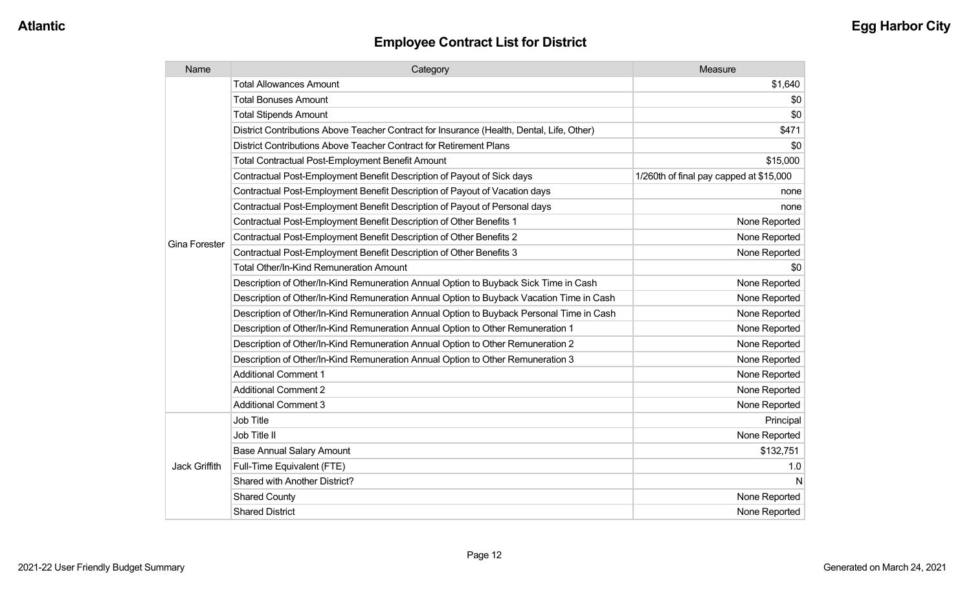| Name                 | Category                                                                                  | Measure                                 |
|----------------------|-------------------------------------------------------------------------------------------|-----------------------------------------|
|                      | <b>Total Allowances Amount</b>                                                            | \$1,640                                 |
|                      | <b>Total Bonuses Amount</b>                                                               | \$0                                     |
|                      | <b>Total Stipends Amount</b>                                                              | \$0                                     |
|                      | District Contributions Above Teacher Contract for Insurance (Health, Dental, Life, Other) | \$471                                   |
|                      | District Contributions Above Teacher Contract for Retirement Plans                        | \$0                                     |
|                      | <b>Total Contractual Post-Employment Benefit Amount</b>                                   | \$15,000                                |
|                      | Contractual Post-Employment Benefit Description of Payout of Sick days                    | 1/260th of final pay capped at \$15,000 |
|                      | Contractual Post-Employment Benefit Description of Payout of Vacation days                | none                                    |
|                      | Contractual Post-Employment Benefit Description of Payout of Personal days                | none                                    |
|                      | Contractual Post-Employment Benefit Description of Other Benefits 1                       | None Reported                           |
| <b>Gina Forester</b> | Contractual Post-Employment Benefit Description of Other Benefits 2                       | None Reported                           |
|                      | Contractual Post-Employment Benefit Description of Other Benefits 3                       | None Reported                           |
|                      | <b>Total Other/In-Kind Remuneration Amount</b>                                            | \$0                                     |
|                      | Description of Other/In-Kind Remuneration Annual Option to Buyback Sick Time in Cash      | None Reported                           |
|                      | Description of Other/In-Kind Remuneration Annual Option to Buyback Vacation Time in Cash  | None Reported                           |
|                      | Description of Other/In-Kind Remuneration Annual Option to Buyback Personal Time in Cash  | None Reported                           |
|                      | Description of Other/In-Kind Remuneration Annual Option to Other Remuneration 1           | None Reported                           |
|                      | Description of Other/In-Kind Remuneration Annual Option to Other Remuneration 2           | None Reported                           |
|                      | Description of Other/In-Kind Remuneration Annual Option to Other Remuneration 3           | None Reported                           |
|                      | <b>Additional Comment 1</b>                                                               | None Reported                           |
|                      | <b>Additional Comment 2</b>                                                               | None Reported                           |
|                      | <b>Additional Comment 3</b>                                                               | None Reported                           |
|                      | Job Title                                                                                 | Principal                               |
|                      | Job Title II                                                                              | None Reported                           |
|                      | <b>Base Annual Salary Amount</b>                                                          | \$132,751                               |
| <b>Jack Griffith</b> | Full-Time Equivalent (FTE)                                                                | 1.0                                     |
|                      | Shared with Another District?                                                             | N                                       |
|                      | <b>Shared County</b>                                                                      | None Reported                           |
|                      | <b>Shared District</b>                                                                    | None Reported                           |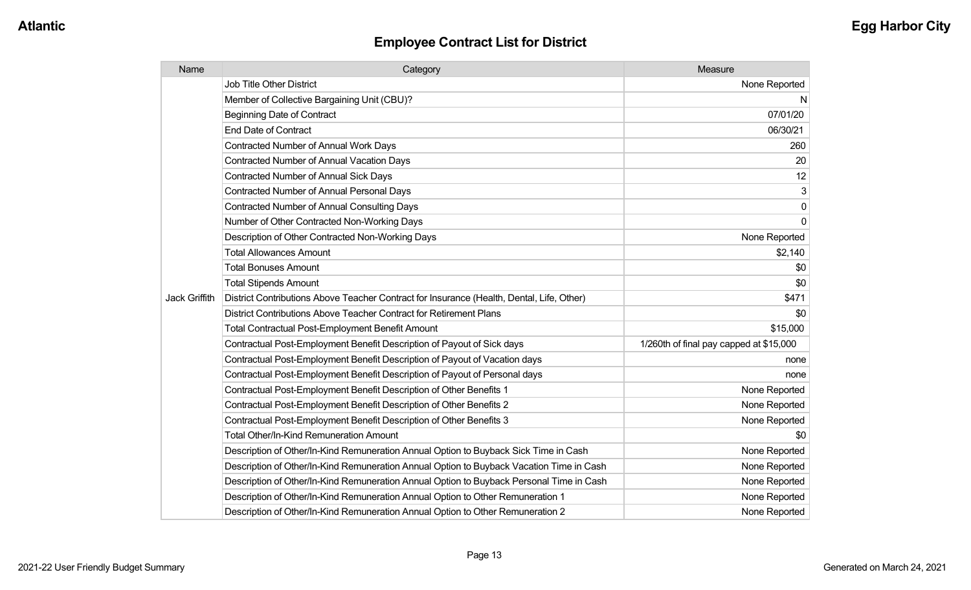| Name                 | Category                                                                                  | Measure                                 |
|----------------------|-------------------------------------------------------------------------------------------|-----------------------------------------|
|                      | Job Title Other District                                                                  | None Reported                           |
|                      | Member of Collective Bargaining Unit (CBU)?                                               | N                                       |
|                      | <b>Beginning Date of Contract</b>                                                         | 07/01/20                                |
|                      | <b>End Date of Contract</b>                                                               | 06/30/21                                |
|                      | <b>Contracted Number of Annual Work Days</b>                                              | 260                                     |
|                      | Contracted Number of Annual Vacation Days                                                 | 20                                      |
|                      | Contracted Number of Annual Sick Days                                                     | 12                                      |
|                      | <b>Contracted Number of Annual Personal Days</b>                                          | 3                                       |
|                      | <b>Contracted Number of Annual Consulting Days</b>                                        | $\overline{0}$                          |
|                      | Number of Other Contracted Non-Working Days                                               | $\overline{0}$                          |
|                      | Description of Other Contracted Non-Working Days                                          | None Reported                           |
|                      | <b>Total Allowances Amount</b>                                                            | \$2,140                                 |
|                      | <b>Total Bonuses Amount</b>                                                               | \$0                                     |
|                      | <b>Total Stipends Amount</b>                                                              | \$0                                     |
| <b>Jack Griffith</b> | District Contributions Above Teacher Contract for Insurance (Health, Dental, Life, Other) | \$471                                   |
|                      | District Contributions Above Teacher Contract for Retirement Plans                        | \$0                                     |
|                      | <b>Total Contractual Post-Employment Benefit Amount</b>                                   | \$15,000                                |
|                      | Contractual Post-Employment Benefit Description of Payout of Sick days                    | 1/260th of final pay capped at \$15,000 |
|                      | Contractual Post-Employment Benefit Description of Payout of Vacation days                | none                                    |
|                      | Contractual Post-Employment Benefit Description of Payout of Personal days                | none                                    |
|                      | Contractual Post-Employment Benefit Description of Other Benefits 1                       | None Reported                           |
|                      | Contractual Post-Employment Benefit Description of Other Benefits 2                       | None Reported                           |
|                      | Contractual Post-Employment Benefit Description of Other Benefits 3                       | None Reported                           |
|                      | Total Other/In-Kind Remuneration Amount                                                   | \$0                                     |
|                      | Description of Other/In-Kind Remuneration Annual Option to Buyback Sick Time in Cash      | None Reported                           |
|                      | Description of Other/In-Kind Remuneration Annual Option to Buyback Vacation Time in Cash  | None Reported                           |
|                      | Description of Other/In-Kind Remuneration Annual Option to Buyback Personal Time in Cash  | None Reported                           |
|                      | Description of Other/In-Kind Remuneration Annual Option to Other Remuneration 1           | None Reported                           |
|                      | Description of Other/In-Kind Remuneration Annual Option to Other Remuneration 2           | None Reported                           |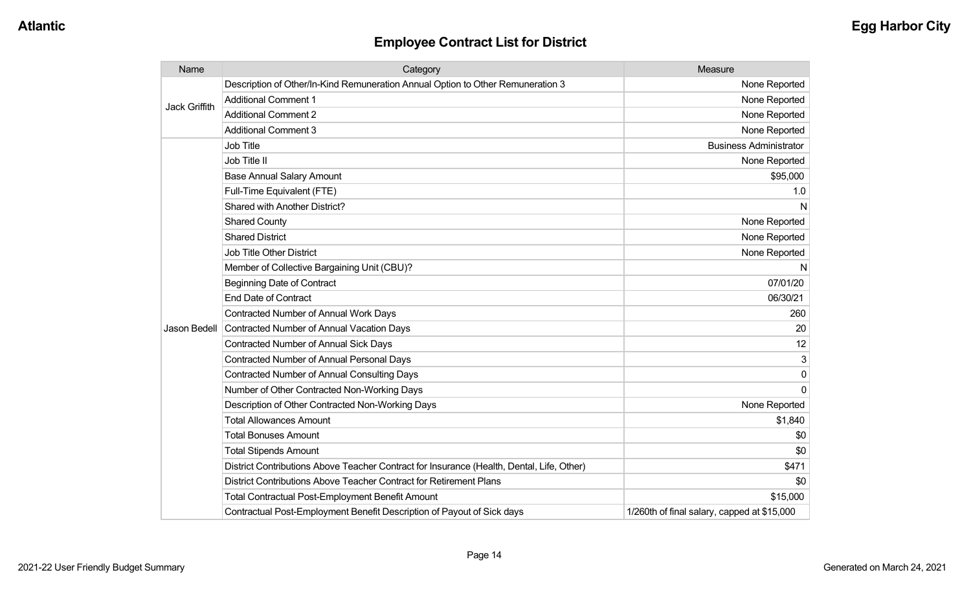| Name          | Category                                                                                  | Measure                                     |
|---------------|-------------------------------------------------------------------------------------------|---------------------------------------------|
| Jack Griffith | Description of Other/In-Kind Remuneration Annual Option to Other Remuneration 3           | None Reported                               |
|               | <b>Additional Comment 1</b>                                                               | None Reported                               |
|               | <b>Additional Comment 2</b>                                                               | None Reported                               |
|               | <b>Additional Comment 3</b>                                                               | None Reported                               |
|               | <b>Job Title</b>                                                                          | <b>Business Administrator</b>               |
|               | Job Title II                                                                              | None Reported                               |
|               | <b>Base Annual Salary Amount</b>                                                          | \$95,000                                    |
|               | Full-Time Equivalent (FTE)                                                                | 1.0                                         |
|               | Shared with Another District?                                                             | N                                           |
|               | <b>Shared County</b>                                                                      | None Reported                               |
|               | <b>Shared District</b>                                                                    | None Reported                               |
|               | <b>Job Title Other District</b>                                                           | None Reported                               |
|               | Member of Collective Bargaining Unit (CBU)?                                               | N                                           |
|               | <b>Beginning Date of Contract</b>                                                         | 07/01/20                                    |
|               | <b>End Date of Contract</b>                                                               | 06/30/21                                    |
|               | Contracted Number of Annual Work Days                                                     | 260                                         |
| Jason Bedell  | Contracted Number of Annual Vacation Days                                                 | 20                                          |
|               | <b>Contracted Number of Annual Sick Days</b>                                              | 12                                          |
|               | <b>Contracted Number of Annual Personal Days</b>                                          | 3                                           |
|               | <b>Contracted Number of Annual Consulting Days</b>                                        | $\Omega$                                    |
|               | Number of Other Contracted Non-Working Days                                               | $\Omega$                                    |
|               | Description of Other Contracted Non-Working Days                                          | None Reported                               |
|               | <b>Total Allowances Amount</b>                                                            | \$1,840                                     |
|               | <b>Total Bonuses Amount</b>                                                               | \$0                                         |
|               | <b>Total Stipends Amount</b>                                                              | \$0                                         |
|               | District Contributions Above Teacher Contract for Insurance (Health, Dental, Life, Other) | \$471                                       |
|               | District Contributions Above Teacher Contract for Retirement Plans                        | \$0                                         |
|               | <b>Total Contractual Post-Employment Benefit Amount</b>                                   | \$15,000                                    |
|               | Contractual Post-Employment Benefit Description of Payout of Sick days                    | 1/260th of final salary, capped at \$15,000 |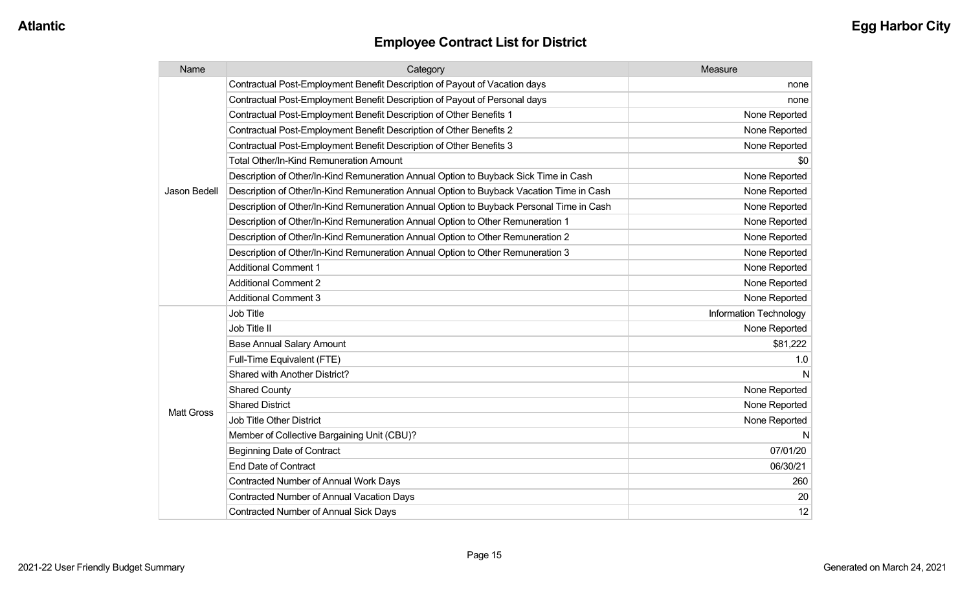| Name              | Category                                                                                 | Measure                       |
|-------------------|------------------------------------------------------------------------------------------|-------------------------------|
|                   | Contractual Post-Employment Benefit Description of Payout of Vacation days               | none                          |
|                   | Contractual Post-Employment Benefit Description of Payout of Personal days               | none                          |
|                   | Contractual Post-Employment Benefit Description of Other Benefits 1                      | None Reported                 |
|                   | Contractual Post-Employment Benefit Description of Other Benefits 2                      | None Reported                 |
|                   | Contractual Post-Employment Benefit Description of Other Benefits 3                      | None Reported                 |
|                   | <b>Total Other/In-Kind Remuneration Amount</b>                                           | \$0                           |
|                   | Description of Other/In-Kind Remuneration Annual Option to Buyback Sick Time in Cash     | None Reported                 |
| Jason Bedell      | Description of Other/In-Kind Remuneration Annual Option to Buyback Vacation Time in Cash | None Reported                 |
|                   | Description of Other/In-Kind Remuneration Annual Option to Buyback Personal Time in Cash | None Reported                 |
|                   | Description of Other/In-Kind Remuneration Annual Option to Other Remuneration 1          | None Reported                 |
|                   | Description of Other/In-Kind Remuneration Annual Option to Other Remuneration 2          | None Reported                 |
|                   | Description of Other/In-Kind Remuneration Annual Option to Other Remuneration 3          | None Reported                 |
|                   | <b>Additional Comment 1</b>                                                              | None Reported                 |
|                   | <b>Additional Comment 2</b>                                                              | None Reported                 |
|                   | <b>Additional Comment 3</b>                                                              | None Reported                 |
|                   | Job Title                                                                                | <b>Information Technology</b> |
|                   | Job Title II                                                                             | None Reported                 |
|                   | <b>Base Annual Salary Amount</b>                                                         | \$81,222                      |
|                   | Full-Time Equivalent (FTE)                                                               | 1.0                           |
|                   | Shared with Another District?                                                            |                               |
| <b>Matt Gross</b> | <b>Shared County</b>                                                                     | None Reported                 |
|                   | <b>Shared District</b>                                                                   | None Reported                 |
|                   | Job Title Other District                                                                 | None Reported                 |
|                   | Member of Collective Bargaining Unit (CBU)?                                              |                               |
|                   | <b>Beginning Date of Contract</b>                                                        | 07/01/20                      |
|                   | <b>End Date of Contract</b>                                                              | 06/30/21                      |
|                   | <b>Contracted Number of Annual Work Days</b>                                             | 260                           |
|                   | <b>Contracted Number of Annual Vacation Days</b>                                         | 20                            |
|                   | <b>Contracted Number of Annual Sick Days</b>                                             | 12                            |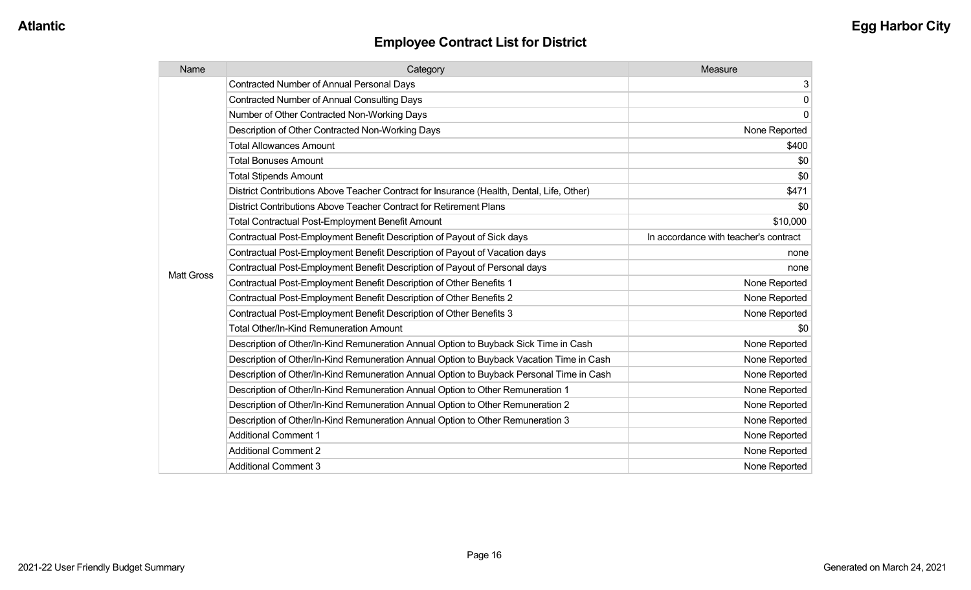| Name              | Category                                                                                  | Measure                               |
|-------------------|-------------------------------------------------------------------------------------------|---------------------------------------|
|                   | <b>Contracted Number of Annual Personal Days</b>                                          | 3                                     |
|                   | <b>Contracted Number of Annual Consulting Days</b>                                        | $\mathbf 0$                           |
|                   | Number of Other Contracted Non-Working Days                                               | 0                                     |
|                   | Description of Other Contracted Non-Working Days                                          | None Reported                         |
|                   | <b>Total Allowances Amount</b>                                                            | \$400                                 |
|                   | <b>Total Bonuses Amount</b>                                                               | \$0                                   |
|                   | <b>Total Stipends Amount</b>                                                              | \$0                                   |
|                   | District Contributions Above Teacher Contract for Insurance (Health, Dental, Life, Other) | \$471                                 |
|                   | District Contributions Above Teacher Contract for Retirement Plans                        | \$0                                   |
|                   | <b>Total Contractual Post-Employment Benefit Amount</b>                                   | \$10,000                              |
|                   | Contractual Post-Employment Benefit Description of Payout of Sick days                    | In accordance with teacher's contract |
|                   | Contractual Post-Employment Benefit Description of Payout of Vacation days                | none                                  |
| <b>Matt Gross</b> | Contractual Post-Employment Benefit Description of Payout of Personal days                | none                                  |
|                   | Contractual Post-Employment Benefit Description of Other Benefits 1                       | None Reported                         |
|                   | Contractual Post-Employment Benefit Description of Other Benefits 2                       | None Reported                         |
|                   | Contractual Post-Employment Benefit Description of Other Benefits 3                       | None Reported                         |
|                   | Total Other/In-Kind Remuneration Amount                                                   | \$0                                   |
|                   | Description of Other/In-Kind Remuneration Annual Option to Buyback Sick Time in Cash      | None Reported                         |
|                   | Description of Other/In-Kind Remuneration Annual Option to Buyback Vacation Time in Cash  | None Reported                         |
|                   | Description of Other/In-Kind Remuneration Annual Option to Buyback Personal Time in Cash  | None Reported                         |
|                   | Description of Other/In-Kind Remuneration Annual Option to Other Remuneration 1           | None Reported                         |
|                   | Description of Other/In-Kind Remuneration Annual Option to Other Remuneration 2           | None Reported                         |
|                   | Description of Other/In-Kind Remuneration Annual Option to Other Remuneration 3           | None Reported                         |
|                   | <b>Additional Comment 1</b>                                                               | None Reported                         |
|                   | <b>Additional Comment 2</b>                                                               | None Reported                         |
|                   | <b>Additional Comment 3</b>                                                               | None Reported                         |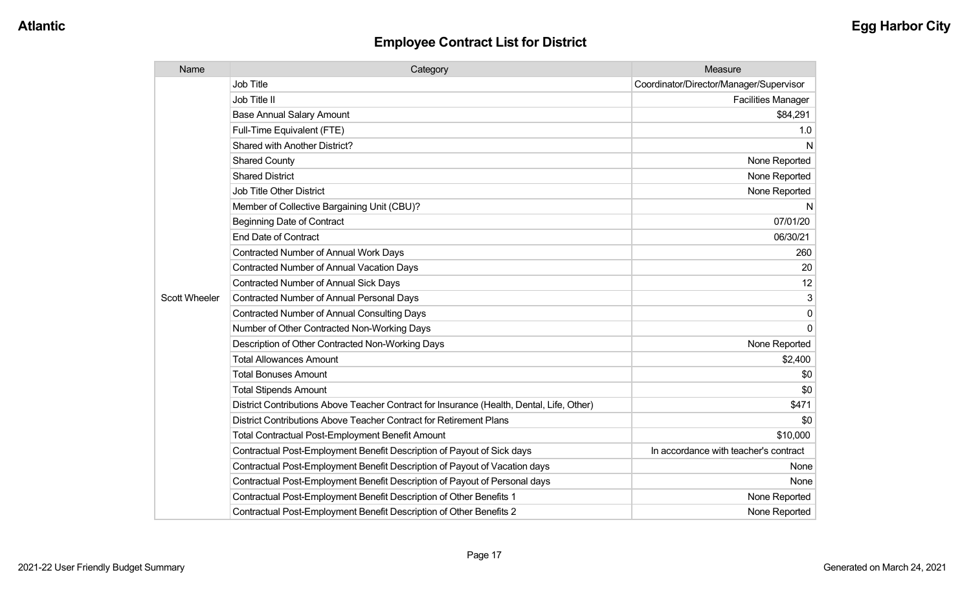| Name                 | Category                                                                                  | Measure                                 |
|----------------------|-------------------------------------------------------------------------------------------|-----------------------------------------|
|                      | <b>Job Title</b>                                                                          | Coordinator/Director/Manager/Supervisor |
|                      | Job Title II                                                                              | <b>Facilities Manager</b>               |
|                      | <b>Base Annual Salary Amount</b>                                                          | \$84,291                                |
|                      | Full-Time Equivalent (FTE)                                                                | 1.0                                     |
|                      | Shared with Another District?                                                             | N                                       |
|                      | <b>Shared County</b>                                                                      | None Reported                           |
|                      | <b>Shared District</b>                                                                    | None Reported                           |
|                      | <b>Job Title Other District</b>                                                           | None Reported                           |
|                      | Member of Collective Bargaining Unit (CBU)?                                               | N                                       |
|                      | <b>Beginning Date of Contract</b>                                                         | 07/01/20                                |
|                      | <b>End Date of Contract</b>                                                               | 06/30/21                                |
|                      | <b>Contracted Number of Annual Work Days</b>                                              | 260                                     |
|                      | <b>Contracted Number of Annual Vacation Days</b>                                          | 20                                      |
|                      | Contracted Number of Annual Sick Days                                                     | 12                                      |
| <b>Scott Wheeler</b> | Contracted Number of Annual Personal Days                                                 | 3                                       |
|                      | <b>Contracted Number of Annual Consulting Days</b>                                        | 0                                       |
|                      | Number of Other Contracted Non-Working Days                                               | $\Omega$                                |
|                      | Description of Other Contracted Non-Working Days                                          | None Reported                           |
|                      | <b>Total Allowances Amount</b>                                                            | \$2,400                                 |
|                      | <b>Total Bonuses Amount</b>                                                               | \$0                                     |
|                      | <b>Total Stipends Amount</b>                                                              | \$0                                     |
|                      | District Contributions Above Teacher Contract for Insurance (Health, Dental, Life, Other) | \$471                                   |
|                      | District Contributions Above Teacher Contract for Retirement Plans                        | \$0                                     |
|                      | <b>Total Contractual Post-Employment Benefit Amount</b>                                   | \$10,000                                |
|                      | Contractual Post-Employment Benefit Description of Payout of Sick days                    | In accordance with teacher's contract   |
|                      | Contractual Post-Employment Benefit Description of Payout of Vacation days                | None                                    |
|                      | Contractual Post-Employment Benefit Description of Payout of Personal days                | None                                    |
|                      | Contractual Post-Employment Benefit Description of Other Benefits 1                       | None Reported                           |
|                      | Contractual Post-Employment Benefit Description of Other Benefits 2                       | None Reported                           |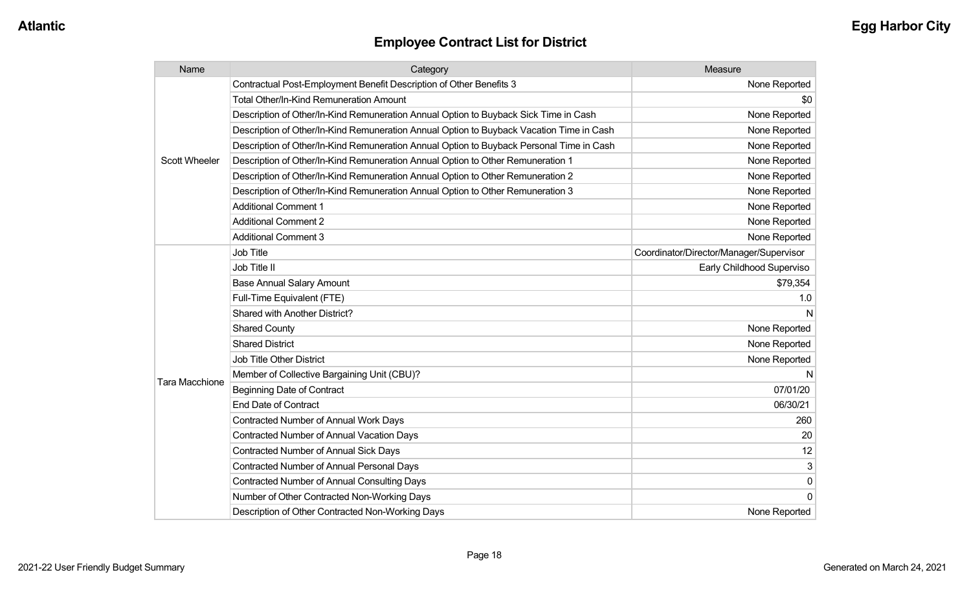| Name                  | Category                                                                                 | Measure                                 |
|-----------------------|------------------------------------------------------------------------------------------|-----------------------------------------|
|                       | Contractual Post-Employment Benefit Description of Other Benefits 3                      | None Reported                           |
|                       | <b>Total Other/In-Kind Remuneration Amount</b>                                           | \$0                                     |
|                       | Description of Other/In-Kind Remuneration Annual Option to Buyback Sick Time in Cash     | None Reported                           |
|                       | Description of Other/In-Kind Remuneration Annual Option to Buyback Vacation Time in Cash | None Reported                           |
|                       | Description of Other/In-Kind Remuneration Annual Option to Buyback Personal Time in Cash | None Reported                           |
| <b>Scott Wheeler</b>  | Description of Other/In-Kind Remuneration Annual Option to Other Remuneration 1          | None Reported                           |
|                       | Description of Other/In-Kind Remuneration Annual Option to Other Remuneration 2          | None Reported                           |
|                       | Description of Other/In-Kind Remuneration Annual Option to Other Remuneration 3          | None Reported                           |
|                       | <b>Additional Comment 1</b>                                                              | None Reported                           |
|                       | <b>Additional Comment 2</b>                                                              | None Reported                           |
|                       | <b>Additional Comment 3</b>                                                              | None Reported                           |
|                       | <b>Job Title</b>                                                                         | Coordinator/Director/Manager/Supervisor |
|                       | Job Title II                                                                             | Early Childhood Superviso               |
|                       | <b>Base Annual Salary Amount</b>                                                         | \$79,354                                |
|                       | Full-Time Equivalent (FTE)                                                               | 1.0                                     |
|                       | <b>Shared with Another District?</b>                                                     |                                         |
|                       | <b>Shared County</b>                                                                     | None Reported                           |
|                       | <b>Shared District</b>                                                                   | None Reported                           |
|                       | <b>Job Title Other District</b>                                                          | None Reported                           |
|                       | Member of Collective Bargaining Unit (CBU)?                                              |                                         |
| <b>Tara Macchione</b> | <b>Beginning Date of Contract</b>                                                        | 07/01/20                                |
|                       | <b>End Date of Contract</b>                                                              | 06/30/21                                |
|                       | <b>Contracted Number of Annual Work Days</b>                                             | 260                                     |
|                       | <b>Contracted Number of Annual Vacation Days</b>                                         | 20                                      |
|                       | <b>Contracted Number of Annual Sick Days</b>                                             | 12                                      |
|                       | <b>Contracted Number of Annual Personal Days</b>                                         | 3                                       |
|                       | <b>Contracted Number of Annual Consulting Days</b>                                       | $\mathbf 0$                             |
|                       | Number of Other Contracted Non-Working Days                                              | $\mathbf{0}$                            |
|                       | Description of Other Contracted Non-Working Days                                         | None Reported                           |